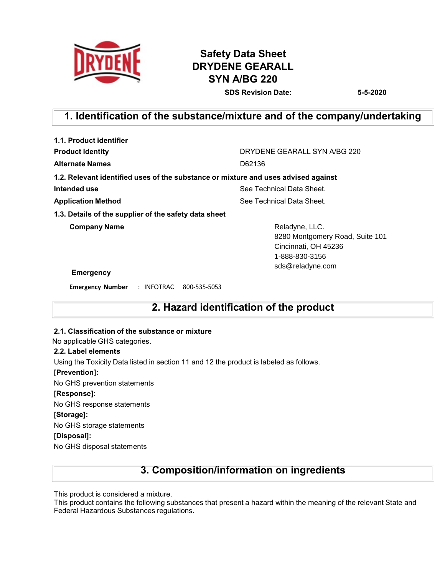

# **Safety Data Sheet DRYDENE GEARALL SYN A/BG 220**

**SDS Revision Date: 5-5-2020**

# **1. Identification of the substance/mixture and of the company/undertaking**

| DRYDENE GEARALL SYN A/BG 220                                                                |  |  |
|---------------------------------------------------------------------------------------------|--|--|
| D62136                                                                                      |  |  |
| 1.2. Relevant identified uses of the substance or mixture and uses advised against          |  |  |
| See Technical Data Sheet.                                                                   |  |  |
| See Technical Data Sheet.                                                                   |  |  |
|                                                                                             |  |  |
| Reladyne, LLC.<br>8280 Montgomery Road, Suite 101<br>Cincinnati, OH 45236<br>1-888-830-3156 |  |  |
| sds@reladyne.com                                                                            |  |  |
|                                                                                             |  |  |

**Emergency Number** : INFOTRAC 800-535-5053

### **2. Hazard identification of the product**

### **2.1. Classification of the substance or mixture**

No applicable GHS categories.

### **2.2. Label elements**

Using the Toxicity Data listed in section 11 and 12 the product is labeled as follows.

### **[Prevention]:**

No GHS prevention statements

### **[Response]:**

No GHS response statements

### **[Storage]:**

No GHS storage statements

### **[Disposal]:**

No GHS disposal statements

### **3. Composition/information on ingredients**

This product is considered a mixture.

This product contains the following substances that present a hazard within the meaning of the relevant State and Federal Hazardous Substances regulations.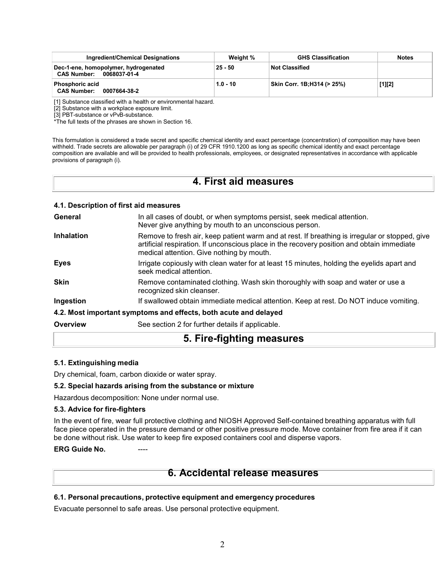| Ingredient/Chemical Designations                                           | Weight %   | <b>GHS Classification</b>  | <b>Notes</b> |
|----------------------------------------------------------------------------|------------|----------------------------|--------------|
| Dec-1-ene, homopolymer, hydrogenated<br><b>CAS Number:</b><br>0068037-01-4 | $25 - 50$  | <b>Not Classified</b>      |              |
| <b>Phosphoric acid</b><br><b>CAS Number:</b><br>0007664-38-2               | $1.0 - 10$ | Skin Corr. 1B:H314 (> 25%) | $[1][2]$     |

[1] Substance classified with a health or environmental hazard.

[2] Substance with a workplace exposure limit.

[3] PBT-substance or vPvB-substance.

\*The full texts of the phrases are shown in Section 16.

This formulation is considered a trade secret and specific chemical identity and exact percentage (concentration) of composition may have been withheld. Trade secrets are allowable per paragraph (i) of 29 CFR 1910.1200 as long as specific chemical identity and exact percentage composition are available and will be provided to health professionals, employees, or designated representatives in accordance with applicable provisions of paragraph (i).

### **4. First aid measures**

|                   | 4.1. Description of first aid measures                                                                                                                                                                                                    |
|-------------------|-------------------------------------------------------------------------------------------------------------------------------------------------------------------------------------------------------------------------------------------|
| General           | In all cases of doubt, or when symptoms persist, seek medical attention.<br>Never give anything by mouth to an unconscious person.                                                                                                        |
| <b>Inhalation</b> | Remove to fresh air, keep patient warm and at rest. If breathing is irregular or stopped, give<br>artificial respiration. If unconscious place in the recovery position and obtain immediate<br>medical attention. Give nothing by mouth. |
| <b>Eyes</b>       | Irrigate copiously with clean water for at least 15 minutes, holding the eyelids apart and<br>seek medical attention.                                                                                                                     |
| <b>Skin</b>       | Remove contaminated clothing. Wash skin thoroughly with soap and water or use a<br>recognized skin cleanser.                                                                                                                              |
| Ingestion         | If swallowed obtain immediate medical attention. Keep at rest. Do NOT induce vomiting.                                                                                                                                                    |
|                   | 4.2. Most important symptoms and effects, both acute and delayed                                                                                                                                                                          |
| Overview          | See section 2 for further details if applicable.                                                                                                                                                                                          |
|                   | 5. Fire-fighting measures                                                                                                                                                                                                                 |

### **5.1. Extinguishing media**

Dry chemical, foam, carbon dioxide or water spray.

### **5.2. Special hazards arising from the substance or mixture**

Hazardous decomposition: None under normal use.

### **5.3. Advice for fire-fighters**

In the event of fire, wear full protective clothing and NIOSH Approved Self-contained breathing apparatus with full face piece operated in the pressure demand or other positive pressure mode. Move container from fire area if it can be done without risk. Use water to keep fire exposed containers cool and disperse vapors.

### **ERG** Guide No.

### **6. Accidental release measures**

### **6.1. Personal precautions, protective equipment and emergency procedures**

Evacuate personnel to safe areas. Use personal protective equipment.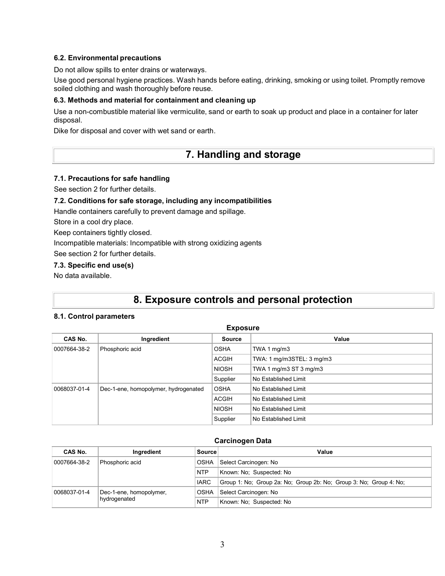### **6.2. Environmental precautions**

Do not allow spills to enter drains or waterways.

Use good personal hygiene practices. Wash hands before eating, drinking, smoking or using toilet. Promptly remove soiled clothing and wash thoroughly before reuse.

### **6.3. Methods and material for containment and cleaning up**

Use a non-combustible material like vermiculite, sand or earth to soak up product and place in a container for later disposal.

Dike for disposal and cover with wet sand or earth.

## **7. Handling and storage**

### **7.1. Precautions for safe handling**

See section 2 for further details.

### **7.2. Conditions for safe storage, including any incompatibilities**

Handle containers carefully to prevent damage and spillage.

Store in a cool dry place.

Keep containers tightly closed.

Incompatible materials: Incompatible with strong oxidizing agents

See section 2 for further details.

### **7.3. Specific end use(s)**

No data available.

## **8. Exposure controls and personal protection**

### **8.1. Control parameters**

| <b>Exposure</b> |                                      |               |                           |  |  |
|-----------------|--------------------------------------|---------------|---------------------------|--|--|
| CAS No.         | Ingredient                           | <b>Source</b> | Value                     |  |  |
| 0007664-38-2    | Phosphoric acid                      | <b>OSHA</b>   | TWA 1 $mq/m3$             |  |  |
|                 |                                      | <b>ACGIH</b>  | TWA: 1 mg/m3STEL: 3 mg/m3 |  |  |
|                 |                                      | <b>NIOSH</b>  | TWA 1 mg/m3 ST 3 mg/m3    |  |  |
|                 |                                      | Supplier      | No Established Limit      |  |  |
| 0068037-01-4    | Dec-1-ene, homopolymer, hydrogenated | <b>OSHA</b>   | No Established Limit      |  |  |
|                 |                                      | <b>ACGIH</b>  | No Established Limit      |  |  |
|                 |                                      | <b>NIOSH</b>  | No Established Limit      |  |  |
|                 |                                      | Supplier      | No Established Limit      |  |  |

### **Carcinogen Data**

| CAS No.      | Ingredient                                                      | Source      | Value                                                              |
|--------------|-----------------------------------------------------------------|-------------|--------------------------------------------------------------------|
| 0007664-38-2 | Phosphoric acid                                                 | <b>OSHA</b> | Select Carcinogen: No                                              |
|              |                                                                 | <b>NTP</b>  | Known: No: Suspected: No                                           |
|              |                                                                 | <b>IARC</b> | Group 1: No; Group 2a: No; Group 2b: No; Group 3: No; Group 4: No; |
| 0068037-01-4 | Select Carcinogen: No<br><b>OSHA</b><br>Dec-1-ene, homopolymer, |             |                                                                    |
| hydrogenated |                                                                 | <b>NTP</b>  | Known: No: Suspected: No                                           |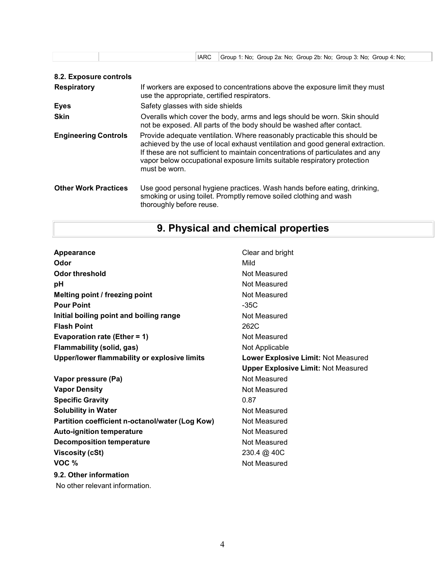|                             | <b>IARC</b><br>Group 1: No; Group 2a: No; Group 2b: No; Group 3: No; Group 4: No;                                                                                                                                                                                                                                                         |  |  |  |  |
|-----------------------------|-------------------------------------------------------------------------------------------------------------------------------------------------------------------------------------------------------------------------------------------------------------------------------------------------------------------------------------------|--|--|--|--|
| 8.2. Exposure controls      |                                                                                                                                                                                                                                                                                                                                           |  |  |  |  |
| <b>Respiratory</b>          | If workers are exposed to concentrations above the exposure limit they must<br>use the appropriate, certified respirators.                                                                                                                                                                                                                |  |  |  |  |
| <b>Eyes</b>                 | Safety glasses with side shields                                                                                                                                                                                                                                                                                                          |  |  |  |  |
| <b>Skin</b>                 | Overalls which cover the body, arms and legs should be worn. Skin should<br>not be exposed. All parts of the body should be washed after contact.                                                                                                                                                                                         |  |  |  |  |
| <b>Engineering Controls</b> | Provide adequate ventilation. Where reasonably practicable this should be<br>achieved by the use of local exhaust ventilation and good general extraction.<br>If these are not sufficient to maintain concentrations of particulates and any<br>vapor below occupational exposure limits suitable respiratory protection<br>must be worn. |  |  |  |  |
| <b>Other Work Practices</b> | Use good personal hygiene practices. Wash hands before eating, drinking,<br>smoking or using toilet. Promptly remove soiled clothing and wash<br>thoroughly before reuse.                                                                                                                                                                 |  |  |  |  |

# **9. Physical and chemical properties**

| Appearance                                      | Clear and bright                           |
|-------------------------------------------------|--------------------------------------------|
| Odor                                            | Mild                                       |
| Odor threshold                                  | Not Measured                               |
| рH                                              | Not Measured                               |
| Melting point / freezing point                  | Not Measured                               |
| <b>Pour Point</b>                               | $-35C$                                     |
| Initial boiling point and boiling range         | Not Measured                               |
| <b>Flash Point</b>                              | 262C                                       |
| Evaporation rate (Ether = $1$ )                 | Not Measured                               |
| <b>Flammability (solid, gas)</b>                | Not Applicable                             |
| Upper/lower flammability or explosive limits    | Lower Explosive Limit: Not Measured        |
|                                                 | <b>Upper Explosive Limit: Not Measured</b> |
| Vapor pressure (Pa)                             | Not Measured                               |
| <b>Vapor Density</b>                            | Not Measured                               |
| <b>Specific Gravity</b>                         | 0.87                                       |
| <b>Solubility in Water</b>                      | Not Measured                               |
| Partition coefficient n-octanol/water (Log Kow) | Not Measured                               |
| <b>Auto-ignition temperature</b>                | Not Measured                               |
| <b>Decomposition temperature</b>                | Not Measured                               |
| <b>Viscosity (cSt)</b>                          | 230.4 @ 40C                                |
| VOC %                                           | Not Measured                               |
| 9.2. Other information                          |                                            |
| No other relevant information.                  |                                            |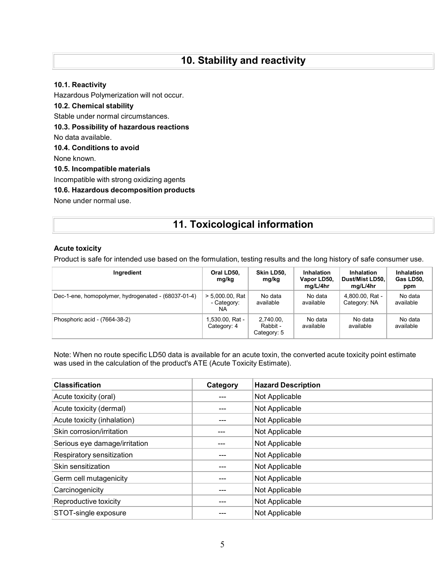# **10. Stability and reactivity**

### **10.1. Reactivity**

Hazardous Polymerization will not occur. **10.2. Chemical stability** Stable under normal circumstances. **10.3. Possibility of hazardous reactions** No data available. **10.4. Conditions to avoid** None known. **10.5. Incompatible materials** Incompatible with strong oxidizing agents **10.6. Hazardous decomposition products**

None under normal use.

# **11. Toxicological information**

### **Acute toxicity**

Product is safe for intended use based on the formulation, testing results and the long history of safe consumer use.

| Ingredient                                          | Oral LD50,<br>mg/kg                      | Skin LD50.<br>mg/kg                  | Inhalation<br>Vapor LD50,<br>mg/L/4hr | Inhalation<br>Dust/Mist LD50,<br>mg/L/4hr | Inhalation<br>Gas LD50,<br>ppm |
|-----------------------------------------------------|------------------------------------------|--------------------------------------|---------------------------------------|-------------------------------------------|--------------------------------|
| Dec-1-ene, homopolymer, hydrogenated - (68037-01-4) | $> 5.000.00$ . Rat<br>- Category:<br>NA. | No data<br>available                 | No data<br>available                  | 4.800.00. Rat -<br>Category: NA           | No data<br>available           |
| Phosphoric acid - (7664-38-2)                       | l,530.00, Rat -<br>Category: 4           | 2.740.00.<br>Rabbit -<br>Category: 5 | No data<br>available                  | No data<br>available                      | No data<br>available           |

Note: When no route specific LD50 data is available for an acute toxin, the converted acute toxicity point estimate was used in the calculation of the product's ATE (Acute Toxicity Estimate).

| <b>Classification</b>         | Category | <b>Hazard Description</b> |
|-------------------------------|----------|---------------------------|
| Acute toxicity (oral)         |          | Not Applicable            |
| Acute toxicity (dermal)       |          | Not Applicable            |
| Acute toxicity (inhalation)   |          | Not Applicable            |
| Skin corrosion/irritation     |          | Not Applicable            |
| Serious eye damage/irritation |          | Not Applicable            |
| Respiratory sensitization     |          | Not Applicable            |
| Skin sensitization            |          | Not Applicable            |
| Germ cell mutagenicity        |          | Not Applicable            |
| Carcinogenicity               |          | Not Applicable            |
| Reproductive toxicity         |          | Not Applicable            |
| STOT-single exposure          |          | Not Applicable            |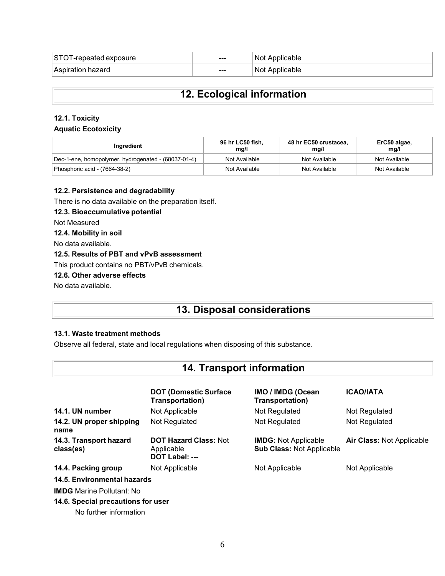| ∣STC<br>l exposure<br>-repeated | ---  | Applicable<br>Not |
|---------------------------------|------|-------------------|
| Aspiration                      | $--$ | Not               |
| , hazard                        |      | plicable          |

# **12. Ecological information**

### **12.1. Toxicity**

### **Aquatic Ecotoxicity**

| Ingredient                                          | 96 hr LC50 fish,<br>mq/l | 48 hr EC50 crustacea.<br>mg/l | ErC50 algae,<br>mq/l |
|-----------------------------------------------------|--------------------------|-------------------------------|----------------------|
| Dec-1-ene, homopolymer, hydrogenated - (68037-01-4) | Not Available            | Not Available                 | Not Available        |
| Phosphoric acid - (7664-38-2)                       | Not Available            | Not Available                 | Not Available        |

### **12.2. Persistence and degradability**

There is no data available on the preparation itself.

### **12.3. Bioaccumulative potential**

Not Measured

### **12.4. Mobility in soil**

No data available.

### **12.5. Results of PBT and vPvB assessment**

This product contains no PBT/vPvB chemicals.

### **12.6. Other adverse effects**

No data available.

# **13. Disposal considerations**

### **13.1. Waste treatment methods**

Observe all federal, state and local regulations when disposing of this substance.

## **14. Transport information**

|                                                              | <b>DOT (Domestic Surface)</b><br>Transportation)             | <b>IMO / IMDG (Ocean</b><br><b>Transportation</b> )             | <b>ICAO/IATA</b>          |
|--------------------------------------------------------------|--------------------------------------------------------------|-----------------------------------------------------------------|---------------------------|
| 14.1. UN number                                              | Not Applicable                                               | Not Regulated                                                   | Not Regulated             |
| 14.2. UN proper shipping<br>name                             | Not Regulated                                                | Not Regulated                                                   | Not Regulated             |
| 14.3. Transport hazard<br>class(es)                          | <b>DOT Hazard Class: Not</b><br>Applicable<br>DOT Label: --- | <b>IMDG:</b> Not Applicable<br><b>Sub Class: Not Applicable</b> | Air Class: Not Applicable |
| 14.4. Packing group                                          | Not Applicable                                               | Not Applicable                                                  | Not Applicable            |
| 14.5. Environmental hazards                                  |                                                              |                                                                 |                           |
| <b>IMDG</b> Marine Pollutant: No                             |                                                              |                                                                 |                           |
| 14.6. Special precautions for user<br>No further information |                                                              |                                                                 |                           |

6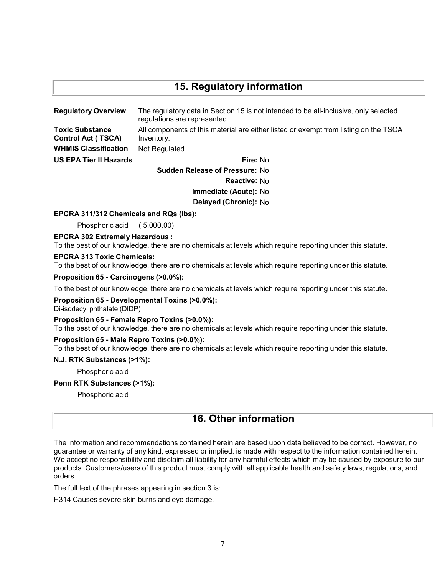# **15. Regulatory information**

| <b>Regulatory Overview</b>                          | The regulatory data in Section 15 is not intended to be all-inclusive, only selected<br>regulations are represented. |  |
|-----------------------------------------------------|----------------------------------------------------------------------------------------------------------------------|--|
| <b>Toxic Substance</b><br><b>Control Act (TSCA)</b> | All components of this material are either listed or exempt from listing on the TSCA<br>Inventory.                   |  |
| <b>WHMIS Classification</b>                         | Not Regulated                                                                                                        |  |
| <b>US EPA Tier II Hazards</b>                       | Fire: No                                                                                                             |  |
| <b>Sudden Release of Pressure: No</b>               |                                                                                                                      |  |

**Reactive:** No

**Immediate (Acute):** No

**Delayed (Chronic):** No

### **EPCRA 311/312 Chemicals and RQs (lbs):**

Phosphoric acid ( 5,000.00)

#### **EPCRA 302 Extremely Hazardous :**

To the best of our knowledge, there are no chemicals at levels which require reporting under this statute.

#### **EPCRA 313 Toxic Chemicals:**

To the best of our knowledge, there are no chemicals at levels which require reporting under this statute.

### **Proposition 65 - Carcinogens (>0.0%):**

To the best of our knowledge, there are no chemicals at levels which require reporting under this statute.

### **Proposition 65 - Developmental Toxins (>0.0%):**

Di-isodecyl phthalate (DIDP)

### **Proposition 65 - Female Repro Toxins (>0.0%):**

To the best of our knowledge, there are no chemicals at levels which require reporting under this statute.

### **Proposition 65 - Male Repro Toxins (>0.0%):**

To the best of our knowledge, there are no chemicals at levels which require reporting under this statute.

#### **N.J. RTK Substances (>1%):**

Phosphoric acid

#### **Penn RTK Substances (>1%):**

Phosphoric acid

# **16. Other information**

The information and recommendations contained herein are based upon data believed to be correct. However, no guarantee or warranty of any kind, expressed or implied, is made with respect to the information contained herein. We accept no responsibility and disclaim all liability for any harmful effects which may be caused by exposure to our products. Customers/users of this product must comply with all applicable health and safety laws, regulations, and orders.

The full text of the phrases appearing in section 3 is:

H314 Causes severe skin burns and eye damage.